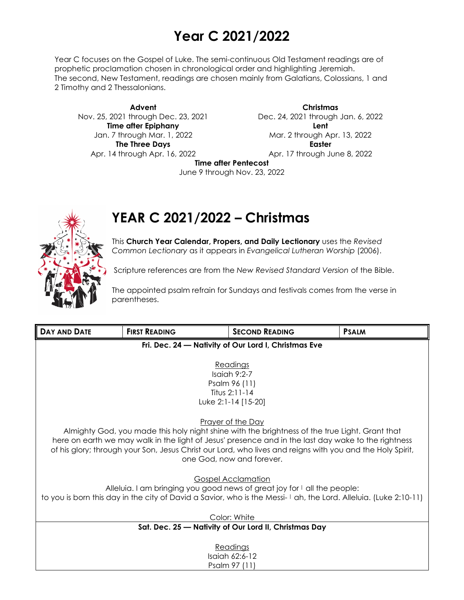# **Year C 2021/2022**

Year C focuses on the Gospel of Luke. The semi-continuous Old Testament readings are of prophetic proclamation chosen in chronological order and highlighting Jeremiah. The second, New Testament, readings are chosen mainly from Galatians, Colossians, 1 and 2 Timothy and 2 Thessalonians.

**Advent** Nov. 25, 2021 through Dec. 23, 2021 **Time after Epiphany** Jan. 7 through Mar. 1, 2022 **The Three Days** Apr. 14 through Apr. 16, 2022

**Christmas** Dec. 24, 2021 through Jan. 6, 2022 **Lent** Mar. 2 through Apr. 13, 2022 **Easter** Apr. 17 through June 8, 2022

**Time after Pentecost**

June 9 through Nov. 23, 2022

## **YEAR C 2021/2022 – Christmas**

This **Church Year Calendar, Propers, and Daily Lectionary** uses the *Revised Common Lectionary* as it appears in *Evangelical Lutheran Worship* (2006).

Scripture references are from the *New Revised Standard Version* of the Bible.

The appointed psalm refrain for Sundays and festivals comes from the verse in parentheses.

| DAY AND DATE                                                                                                                           | <b>FIRST READING</b>                                 | <b>SECOND READING</b> | <b>PSALM</b> |  |
|----------------------------------------------------------------------------------------------------------------------------------------|------------------------------------------------------|-----------------------|--------------|--|
|                                                                                                                                        | Fri. Dec. 24 - Nativity of Our Lord I, Christmas Eve |                       |              |  |
|                                                                                                                                        |                                                      |                       |              |  |
| Readings<br>Isaiah $9:2-7$                                                                                                             |                                                      |                       |              |  |
|                                                                                                                                        |                                                      | Psalm 96 (11)         |              |  |
|                                                                                                                                        |                                                      | Titus 2:11-14         |              |  |
| Luke 2:1-14 [15-20]                                                                                                                    |                                                      |                       |              |  |
|                                                                                                                                        |                                                      |                       |              |  |
|                                                                                                                                        |                                                      | Prayer of the Day     |              |  |
| Almighty God, you made this holy night shine with the brightness of the true Light. Grant that                                         |                                                      |                       |              |  |
| here on earth we may walk in the light of Jesus' presence and in the last day wake to the rightness                                    |                                                      |                       |              |  |
| of his glory; through your Son, Jesus Christ our Lord, who lives and reigns with you and the Holy Spirit,<br>one God, now and forever. |                                                      |                       |              |  |
|                                                                                                                                        |                                                      |                       |              |  |
| <b>Gospel Acclamation</b>                                                                                                              |                                                      |                       |              |  |
| Alleluia. I am bringing you good news of great joy for I all the people:                                                               |                                                      |                       |              |  |
| to you is born this day in the city of David a Savior, who is the Messi-I ah, the Lord. Alleluia. (Luke 2:10-11)                       |                                                      |                       |              |  |
|                                                                                                                                        |                                                      |                       |              |  |
| Color: White                                                                                                                           |                                                      |                       |              |  |
| Sat. Dec. 25 - Nativity of Our Lord II, Christmas Day                                                                                  |                                                      |                       |              |  |
| Readings                                                                                                                               |                                                      |                       |              |  |
| Isaiah 62:6-12                                                                                                                         |                                                      |                       |              |  |
| Psalm 97 (11)                                                                                                                          |                                                      |                       |              |  |

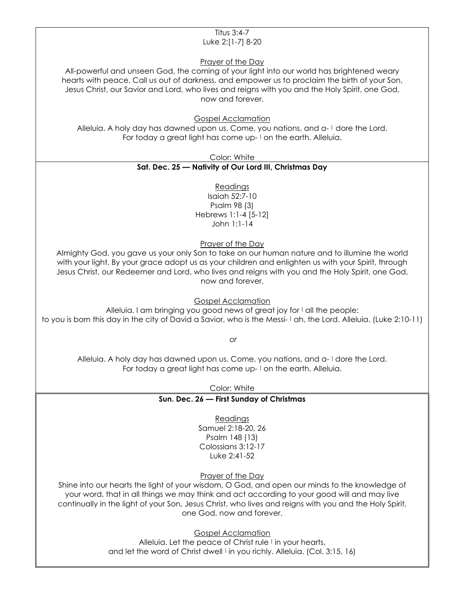#### Titus 3:4-7 Luke 2:[1-7] 8-20

Prayer of the Day

All-powerful and unseen God, the coming of your light into our world has brightened weary hearts with peace. Call us out of darkness, and empower us to proclaim the birth of your Son, Jesus Christ, our Savior and Lord, who lives and reigns with you and the Holy Spirit, one God, now and forever.

Gospel Acclamation

Alleluia. A holy day has dawned upon us. Come, you nations, and a-1 dore the Lord. For today a great light has come up- I on the earth. Alleluia.

Color: White

### **Sat. Dec. 25 — Nativity of Our Lord III, Christmas Day**

Readings Isaiah 52:7-10 Psalm 98 (3) Hebrews 1:1-4 [5-12] John 1:1-14

Prayer of the Day

Almighty God, you gave us your only Son to take on our human nature and to illumine the world with your light. By your grace adopt us as your children and enlighten us with your Spirit, through Jesus Christ, our Redeemer and Lord, who lives and reigns with you and the Holy Spirit, one God, now and forever.

Gospel Acclamation

Alleluia. I am bringing you good news of great joy for I all the people: to you is born this day in the city of David a Savior, who is the Messi- | ah, the Lord. Alleluia. (Luke 2:10-11)

*or*

Alleluia. A holy day has dawned upon us. Come, you nations, and a-1 dore the Lord. For today a great light has come up- I on the earth. Alleluia.

Color: White

**Sun. Dec. 26 — First Sunday of Christmas**

**Readings** 

Samuel 2:18-20, 26 Psalm 148 (13) Colossians 3:12-17 Luke 2:41-52

Prayer of the Day

Shine into our hearts the light of your wisdom, O God, and open our minds to the knowledge of your word, that in all things we may think and act according to your good will and may live continually in the light of your Son, Jesus Christ, who lives and reigns with you and the Holy Spirit, one God, now and forever.

Gospel Acclamation

Alleluia. Let the peace of Christ rule I in your hearts, and let the word of Christ dwell  $\vert$  in you richly. Alleluia. (Col. 3:15, 16)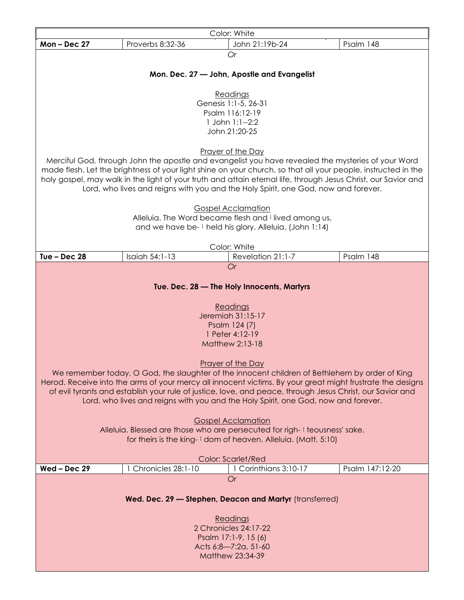| Color: White                                                                                               |                                                                                                    |                                             |  |                                                                                                                |
|------------------------------------------------------------------------------------------------------------|----------------------------------------------------------------------------------------------------|---------------------------------------------|--|----------------------------------------------------------------------------------------------------------------|
| $Mon - Dec 27$                                                                                             | Proverbs 8:32-36                                                                                   | John 21:19b-24                              |  | Psalm 148                                                                                                      |
|                                                                                                            |                                                                                                    | Or                                          |  |                                                                                                                |
|                                                                                                            |                                                                                                    |                                             |  |                                                                                                                |
|                                                                                                            |                                                                                                    | Mon. Dec. 27 - John, Apostle and Evangelist |  |                                                                                                                |
|                                                                                                            |                                                                                                    | Readings                                    |  |                                                                                                                |
|                                                                                                            |                                                                                                    | Genesis 1:1-5, 26-31                        |  |                                                                                                                |
|                                                                                                            |                                                                                                    | Psalm 116:12-19                             |  |                                                                                                                |
|                                                                                                            |                                                                                                    | 1 John 1:1--2:2                             |  |                                                                                                                |
|                                                                                                            |                                                                                                    | John 21:20-25                               |  |                                                                                                                |
|                                                                                                            |                                                                                                    | Prayer of the Day                           |  |                                                                                                                |
|                                                                                                            | Merciful God, through John the apostle and evangelist you have revealed the mysteries of your Word |                                             |  |                                                                                                                |
|                                                                                                            |                                                                                                    |                                             |  | made flesh. Let the brightness of your light shine on your church, so that all your people, instructed in the  |
|                                                                                                            |                                                                                                    |                                             |  | holy gospel, may walk in the light of your truth and attain eternal life, through Jesus Christ, our Savior and |
|                                                                                                            | Lord, who lives and reigns with you and the Holy Spirit, one God, now and forever.                 |                                             |  |                                                                                                                |
|                                                                                                            |                                                                                                    | <b>Gospel Acclamation</b>                   |  |                                                                                                                |
|                                                                                                            | Alleluia. The Word became flesh and I lived among us,                                              |                                             |  |                                                                                                                |
|                                                                                                            | and we have be-1 held his glory. Alleluia. (John 1:14)                                             |                                             |  |                                                                                                                |
|                                                                                                            |                                                                                                    |                                             |  |                                                                                                                |
|                                                                                                            |                                                                                                    | Color: White                                |  |                                                                                                                |
| Tue $-$ Dec 28                                                                                             | Isaiah 54:1-13                                                                                     | Revelation 21:1-7                           |  | Psalm 148                                                                                                      |
|                                                                                                            |                                                                                                    | <b>Or</b>                                   |  |                                                                                                                |
|                                                                                                            |                                                                                                    | Tue. Dec. 28 - The Holy Innocents, Martyrs  |  |                                                                                                                |
|                                                                                                            |                                                                                                    |                                             |  |                                                                                                                |
|                                                                                                            |                                                                                                    | Readings                                    |  |                                                                                                                |
|                                                                                                            |                                                                                                    | Jeremiah 31:15-17                           |  |                                                                                                                |
|                                                                                                            |                                                                                                    | Psalm 124 (7)<br>1 Peter 4:12-19            |  |                                                                                                                |
|                                                                                                            |                                                                                                    | Matthew 2:13-18                             |  |                                                                                                                |
|                                                                                                            |                                                                                                    |                                             |  |                                                                                                                |
|                                                                                                            |                                                                                                    | <b>Prayer of the Day</b>                    |  |                                                                                                                |
| We remember today, O God, the slaughter of the innocent children of Bethlehem by order of King             |                                                                                                    |                                             |  |                                                                                                                |
| Herod. Receive into the arms of your mercy all innocent victims. By your great might frustrate the designs |                                                                                                    |                                             |  |                                                                                                                |
| of evil tyrants and establish your rule of justice, love, and peace, through Jesus Christ, our Savior and  |                                                                                                    |                                             |  |                                                                                                                |
| Lord, who lives and reigns with you and the Holy Spirit, one God, now and forever.                         |                                                                                                    |                                             |  |                                                                                                                |
| <b>Gospel Acclamation</b>                                                                                  |                                                                                                    |                                             |  |                                                                                                                |
| Alleluia. Blessed are those who are persecuted for righ-I teousness' sake,                                 |                                                                                                    |                                             |  |                                                                                                                |
| for theirs is the king-1 dom of heaven. Alleluia. (Matt. 5:10)                                             |                                                                                                    |                                             |  |                                                                                                                |
|                                                                                                            |                                                                                                    |                                             |  |                                                                                                                |
| $Wed - Dec 29$                                                                                             | 1 Chronicles 28:1-10                                                                               | Color: Scarlet/Red<br>Corinthians 3:10-17   |  | Psalm 147:12-20                                                                                                |
|                                                                                                            |                                                                                                    | <b>Or</b>                                   |  |                                                                                                                |
|                                                                                                            |                                                                                                    |                                             |  |                                                                                                                |
| Wed. Dec. 29 - Stephen, Deacon and Martyr (transferred)                                                    |                                                                                                    |                                             |  |                                                                                                                |
|                                                                                                            |                                                                                                    |                                             |  |                                                                                                                |
| Readings                                                                                                   |                                                                                                    |                                             |  |                                                                                                                |
| 2 Chronicles 24:17-22<br>Psalm 17:1-9, 15 (6)                                                              |                                                                                                    |                                             |  |                                                                                                                |
| Acts 6:8-7:2a, 51-60                                                                                       |                                                                                                    |                                             |  |                                                                                                                |
| Matthew 23:34-39                                                                                           |                                                                                                    |                                             |  |                                                                                                                |
|                                                                                                            |                                                                                                    |                                             |  |                                                                                                                |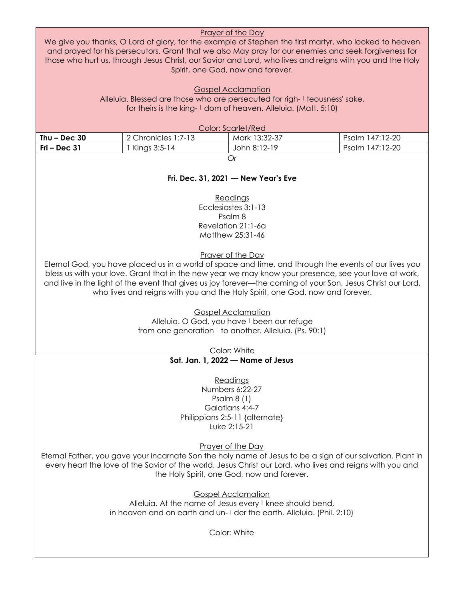| Prayer of the Day<br>We give you thanks, O Lord of glory, for the example of Stephen the first martyr, who looked to heaven<br>and prayed for his persecutors. Grant that we also May pray for our enemies and seek forgiveness for<br>those who hurt us, through Jesus Christ, our Savior and Lord, who lives and reigns with you and the Holy<br>Spirit, one God, now and forever.                                               |                                                                                                                                              |                                |                 |  |
|------------------------------------------------------------------------------------------------------------------------------------------------------------------------------------------------------------------------------------------------------------------------------------------------------------------------------------------------------------------------------------------------------------------------------------|----------------------------------------------------------------------------------------------------------------------------------------------|--------------------------------|-----------------|--|
|                                                                                                                                                                                                                                                                                                                                                                                                                                    | Alleluia. Blessed are those who are persecuted for righ-I teousness' sake,<br>for theirs is the king-1 dom of heaven. Alleluia. (Matt. 5:10) | <b>Gospel Acclamation</b>      |                 |  |
|                                                                                                                                                                                                                                                                                                                                                                                                                                    |                                                                                                                                              | <b>Color: Scarlet/Red</b>      |                 |  |
| Thu $-$ Dec 30                                                                                                                                                                                                                                                                                                                                                                                                                     | 2 Chronicles 1:7-13                                                                                                                          | Mark 13:32-37                  | Psalm 147:12-20 |  |
| $Fri - Dec 31$                                                                                                                                                                                                                                                                                                                                                                                                                     | 1 Kings 3:5-14                                                                                                                               | John 8:12-19                   | Psalm 147:12-20 |  |
|                                                                                                                                                                                                                                                                                                                                                                                                                                    |                                                                                                                                              | <b>Or</b>                      |                 |  |
|                                                                                                                                                                                                                                                                                                                                                                                                                                    | Fri. Dec. 31, 2021 - New Year's Eve<br>Readings                                                                                              |                                |                 |  |
|                                                                                                                                                                                                                                                                                                                                                                                                                                    |                                                                                                                                              | Ecclesiastes 3:1-13<br>Psalm 8 |                 |  |
|                                                                                                                                                                                                                                                                                                                                                                                                                                    |                                                                                                                                              | Revelation 21:1-6a             |                 |  |
|                                                                                                                                                                                                                                                                                                                                                                                                                                    |                                                                                                                                              | Matthew 25:31-46               |                 |  |
| Prayer of the Day<br>Eternal God, you have placed us in a world of space and time, and through the events of our lives you<br>bless us with your love. Grant that in the new year we may know your presence, see your love at work,<br>and live in the light of the event that gives us joy forever—the coming of your Son, Jesus Christ our Lord,<br>who lives and reigns with you and the Holy Spirit, one God, now and forever. |                                                                                                                                              |                                |                 |  |
| <b>Gospel Acclamation</b><br>Alleluia. O God, you have I been our refuge<br>from one generation I to another. Alleluia. (Ps. 90:1)                                                                                                                                                                                                                                                                                                 |                                                                                                                                              |                                |                 |  |
| Color: White                                                                                                                                                                                                                                                                                                                                                                                                                       |                                                                                                                                              |                                |                 |  |
| Sat. Jan. 1, 2022 - Name of Jesus                                                                                                                                                                                                                                                                                                                                                                                                  |                                                                                                                                              |                                |                 |  |
| Readings<br>Numbers 6:22-27<br>Psalm $8(1)$<br>Galatians 4:4-7<br>Philippians 2:5-11 {alternate}<br>Luke 2:15-21                                                                                                                                                                                                                                                                                                                   |                                                                                                                                              |                                |                 |  |
| <b>Prayer of the Day</b><br>Eternal Father, you gave your incarnate Son the holy name of Jesus to be a sign of our salvation. Plant in<br>every heart the love of the Savior of the world, Jesus Christ our Lord, who lives and reigns with you and<br>the Holy Spirit, one God, now and forever.                                                                                                                                  |                                                                                                                                              |                                |                 |  |
| <b>Gospel Acclamation</b><br>Alleluia. At the name of Jesus every I knee should bend,<br>in heaven and on earth and un- I der the earth. Alleluia. (Phil. 2:10)                                                                                                                                                                                                                                                                    |                                                                                                                                              |                                |                 |  |
| Color: White                                                                                                                                                                                                                                                                                                                                                                                                                       |                                                                                                                                              |                                |                 |  |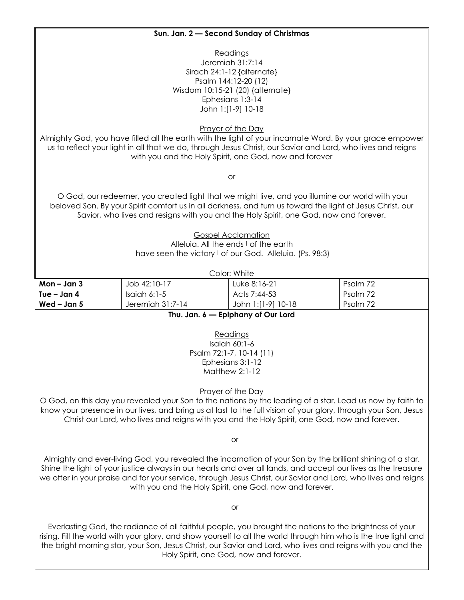### **Sun. Jan. 2 — Second Sunday of Christmas**

**Readings** Jeremiah 31:7:14 Sirach 24:1-12 {alternate} Psalm 144:12-20 (12) Wisdom 10:15-21 (20) {alternate} Ephesians 1:3-14 John 1:[1-9] 10-18

Prayer of the Day

Almighty God, you have filled all the earth with the light of your incarnate Word. By your grace empower us to reflect your light in all that we do, through Jesus Christ, our Savior and Lord, who lives and reigns with you and the Holy Spirit, one God, now and forever

or

O God, our redeemer, you created light that we might live, and you illumine our world with your beloved Son. By your Spirit comfort us in all darkness, and turn us toward the light of Jesus Christ, our Savior, who lives and resigns with you and the Holy Spirit, one God, now and forever.

Gospel Acclamation

Alleluia. All the ends I of the earth have seen the victory  $\vert$  of our God. Alleluia. (Ps. 98:3)

| Color: White  |                  |                    |          |
|---------------|------------------|--------------------|----------|
| Mon – Jan 3   | Job 42:10-17     | Luke 8:16-21       | Psalm 72 |
| ' Tue – Jan 4 | Isaiah 6:1-5     | Acts 7:44-53       | Psalm 72 |
| Wed – Jan 5   | Jeremiah 31:7-14 | John 1:[1-9] 10-18 | Psalm 72 |

**Thu. Jan. 6 — Epiphany of Our Lord**

Readings Isaiah 60:1-6 Psalm 72:1-7, 10-14 (11) Ephesians 3:1-12 Matthew 2:1-12

Prayer of the Day

O God, on this day you revealed your Son to the nations by the leading of a star. Lead us now by faith to know your presence in our lives, and bring us at last to the full vision of your glory, through your Son, Jesus Christ our Lord, who lives and reigns with you and the Holy Spirit, one God, now and forever.

or

Almighty and ever-living God, you revealed the incarnation of your Son by the brilliant shining of a star. Shine the light of your justice always in our hearts and over all lands, and accept our lives as the treasure we offer in your praise and for your service, through Jesus Christ, our Savior and Lord, who lives and reigns with you and the Holy Spirit, one God, now and forever.

or

Everlasting God, the radiance of all faithful people, you brought the nations to the brightness of your rising. Fill the world with your glory, and show yourself to all the world through him who is the true light and the bright morning star, your Son, Jesus Christ, our Savior and Lord, who lives and reigns with you and the Holy Spirit, one God, now and forever.